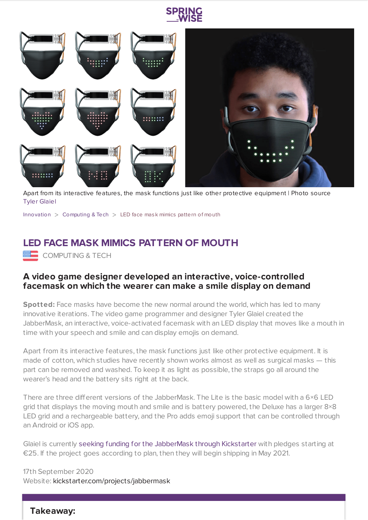



Apart from its interactive features, the mask functions just like other protective equipment | Photo source Tyler [Glaiel](https://www.kickstarter.com/projects/jabbermask/jabbermask?ref=discovery_category)

[Innovation](https://www.springwise.com/search?type=innovation)  $>$  [Computing](https://www.springwise.com/search?type=innovation§or=computing) & Tech  $>$  LED face mask mimics pattern of mouth

## **LED FACE MASK MIMICS PATTERN OF MOUTH**

**EEE** COMPUTING & TECH

## **A video game designer developed an interactive, voice-controlled facemask on which the wearer can make a smile display on demand**

**Spotted:** Face masks have become the new normal around the world, which has led to many innovative iterations. The video game programmer and designer Tyler Glaiel created the JabberMask, an interactive, voice-activated facemask with an LED display that moves like a mouth in time with your speech and smile and can display emojis on demand.

Apart from its interactive features, the mask functions just like other protective equipment. It is made of cotton, which studies have recently shown works almost as well as surgical masks — this part can be removed and washed. To keep it as light as possible, the straps go all around the wearer's head and the battery sits right at the back.

There are three different versions of the JabberMask. The Lite is the basic model with a 6×6 LED grid that displays the moving mouth and smile and is battery powered, the Deluxe has a larger 8×8 LED grid and a rechargeable battery, and the Pro adds emoji support that can be controlled through an Android or iOS app.

Glaiel is currently seeking funding for the [JabberMask](https://www.kickstarter.com/projects/jabbermask/jabbermask?ref=discovery_category) through Kickstarter with pledges starting at €25. If the project goes according to plan, then they will begin shipping in May 2021.

17th September 2020 Website: [kickstarter.com/projects/jabbermask](https://www.kickstarter.com/projects/jabbermask/jabbermask?ref=discovery_category)

## **Takeaway:**